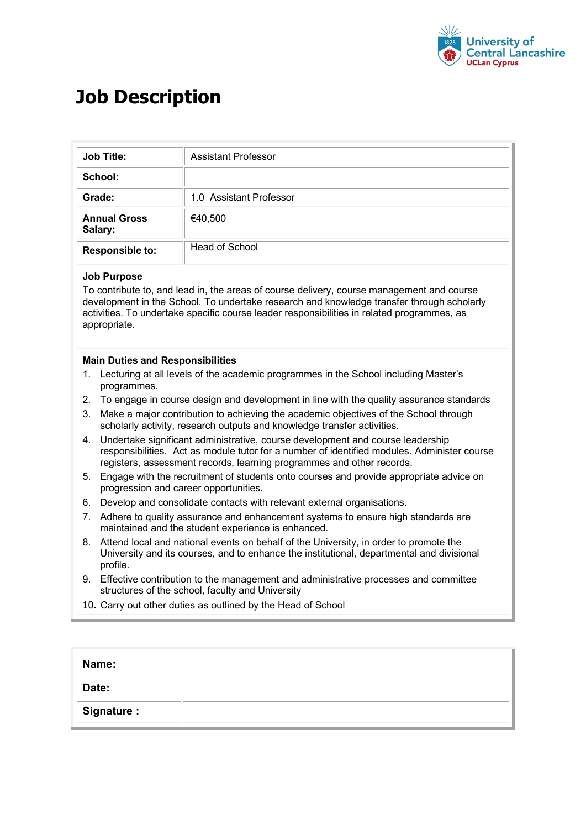

## **Job Description**

|                                                                                                                                                                                                                                                                                                                                                                                                                               | <b>Job Title:</b>                                                                                                                                                                                                                                      | Assistant Professor                                                                                                                                                                |  |  |              |
|-------------------------------------------------------------------------------------------------------------------------------------------------------------------------------------------------------------------------------------------------------------------------------------------------------------------------------------------------------------------------------------------------------------------------------|--------------------------------------------------------------------------------------------------------------------------------------------------------------------------------------------------------------------------------------------------------|------------------------------------------------------------------------------------------------------------------------------------------------------------------------------------|--|--|--------------|
|                                                                                                                                                                                                                                                                                                                                                                                                                               | School:                                                                                                                                                                                                                                                |                                                                                                                                                                                    |  |  |              |
| Grade:                                                                                                                                                                                                                                                                                                                                                                                                                        |                                                                                                                                                                                                                                                        | 1.0 Assistant Professor                                                                                                                                                            |  |  |              |
| <b>Annual Gross</b><br>Salary:<br><b>Responsible to:</b>                                                                                                                                                                                                                                                                                                                                                                      |                                                                                                                                                                                                                                                        | €40,500<br><b>Head of School</b>                                                                                                                                                   |  |  |              |
|                                                                                                                                                                                                                                                                                                                                                                                                                               |                                                                                                                                                                                                                                                        |                                                                                                                                                                                    |  |  | appropriate. |
| <b>Main Duties and Responsibilities</b><br>Lecturing at all levels of the academic programmes in the School including Master's<br>1.<br>programmes.<br>To engage in course design and development in line with the quality assurance standards<br>2.<br>Make a major contribution to achieving the academic objectives of the School through<br>3.<br>scholarly activity, research outputs and knowledge transfer activities. |                                                                                                                                                                                                                                                        |                                                                                                                                                                                    |  |  |              |
| 4.                                                                                                                                                                                                                                                                                                                                                                                                                            | Undertake significant administrative, course development and course leadership<br>responsibilities. Act as module tutor for a number of identified modules. Administer course<br>registers, assessment records, learning programmes and other records. |                                                                                                                                                                                    |  |  |              |
| Engage with the recruitment of students onto courses and provide appropriate advice on<br>5.<br>progression and career opportunities.                                                                                                                                                                                                                                                                                         |                                                                                                                                                                                                                                                        |                                                                                                                                                                                    |  |  |              |
|                                                                                                                                                                                                                                                                                                                                                                                                                               | Develop and consolidate contacts with relevant external organisations.                                                                                                                                                                                 |                                                                                                                                                                                    |  |  |              |
|                                                                                                                                                                                                                                                                                                                                                                                                                               |                                                                                                                                                                                                                                                        | Adhere to quality assurance and enhancement systems to ensure high standards are                                                                                                   |  |  |              |
|                                                                                                                                                                                                                                                                                                                                                                                                                               |                                                                                                                                                                                                                                                        | maintained and the student experience is enhanced.                                                                                                                                 |  |  |              |
|                                                                                                                                                                                                                                                                                                                                                                                                                               | profile.                                                                                                                                                                                                                                               | Attend local and national events on behalf of the University, in order to promote the<br>University and its courses, and to enhance the institutional, departmental and divisional |  |  |              |
| 6.<br>7.<br>8.                                                                                                                                                                                                                                                                                                                                                                                                                |                                                                                                                                                                                                                                                        | Effective contribution to the management and administrative processes and committee<br>structures of the school, faculty and University                                            |  |  |              |

| Name:       |  |
|-------------|--|
| Date:       |  |
| Signature : |  |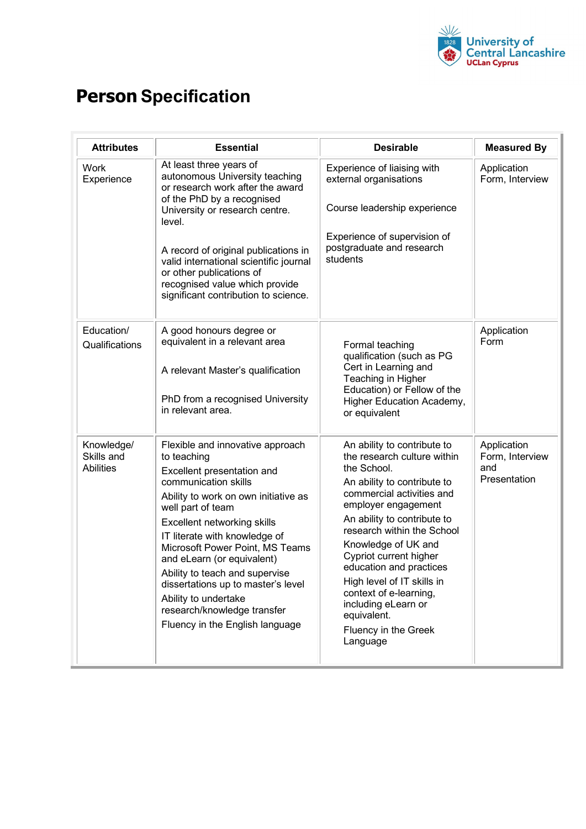

## **Person Specification**

| <b>Attributes</b>                            | <b>Essential</b>                                                                                                                                                                                                                                                                                                                                                                                                                                                      | <b>Desirable</b>                                                                                                                                                                                                                                                                                                                                                                                                                        | <b>Measured By</b>                                    |
|----------------------------------------------|-----------------------------------------------------------------------------------------------------------------------------------------------------------------------------------------------------------------------------------------------------------------------------------------------------------------------------------------------------------------------------------------------------------------------------------------------------------------------|-----------------------------------------------------------------------------------------------------------------------------------------------------------------------------------------------------------------------------------------------------------------------------------------------------------------------------------------------------------------------------------------------------------------------------------------|-------------------------------------------------------|
| <b>Work</b><br>Experience                    | At least three years of<br>autonomous University teaching<br>or research work after the award<br>of the PhD by a recognised<br>University or research centre.<br>level.<br>A record of original publications in<br>valid international scientific journal<br>or other publications of<br>recognised value which provide<br>significant contribution to science.                                                                                                       | Experience of liaising with<br>external organisations<br>Course leadership experience<br>Experience of supervision of<br>postgraduate and research<br>students                                                                                                                                                                                                                                                                          | Application<br>Form, Interview                        |
| Education/<br>Qualifications                 | A good honours degree or<br>equivalent in a relevant area<br>A relevant Master's qualification<br>PhD from a recognised University<br>in relevant area.                                                                                                                                                                                                                                                                                                               | Formal teaching<br>qualification (such as PG<br>Cert in Learning and<br>Teaching in Higher<br>Education) or Fellow of the<br>Higher Education Academy,<br>or equivalent                                                                                                                                                                                                                                                                 | Application<br>Form                                   |
| Knowledge/<br>Skills and<br><b>Abilities</b> | Flexible and innovative approach<br>to teaching<br>Excellent presentation and<br>communication skills<br>Ability to work on own initiative as<br>well part of team<br>Excellent networking skills<br>IT literate with knowledge of<br>Microsoft Power Point, MS Teams<br>and eLearn (or equivalent)<br>Ability to teach and supervise<br>dissertations up to master's level<br>Ability to undertake<br>research/knowledge transfer<br>Fluency in the English language | An ability to contribute to<br>the research culture within<br>the School.<br>An ability to contribute to<br>commercial activities and<br>employer engagement<br>An ability to contribute to<br>research within the School<br>Knowledge of UK and<br>Cypriot current higher<br>education and practices<br>High level of IT skills in<br>context of e-learning,<br>including eLearn or<br>equivalent.<br>Fluency in the Greek<br>Language | Application<br>Form, Interview<br>and<br>Presentation |